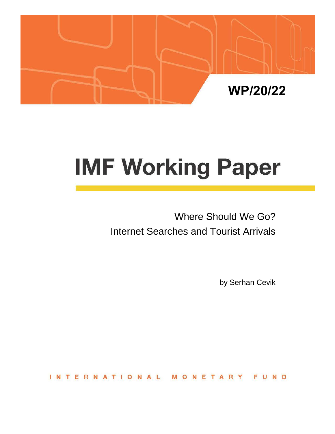

# **IMF Working Paper**

Where Should We Go? Internet Searches and Tourist Arrivals

by Serhan Cevik

**INTERNATIONAL** MONETARY FUND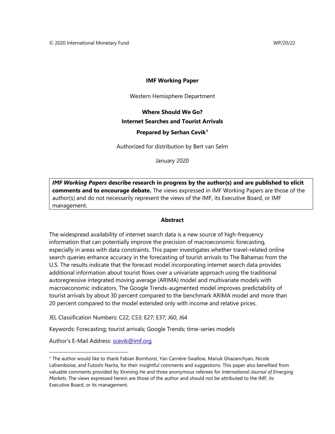#### **IMF Working Paper**

Western Hemisphere Department

## **Where Should We Go? Internet Searches and Tourist Arrivals Prepared by Serhan Cevik[1](#page-1-0)**

Authorized for distribution by Bert van Selm

January 2020

*IMF Working Papers* **describe research in progress by the author(s) and are published to elicit comments and to encourage debate.** The views expressed in IMF Working Papers are those of the author(s) and do not necessarily represent the views of the IMF, its Executive Board, or IMF management.

#### **Abstract**

The widespread availability of internet search data is a new source of high-frequency information that can potentially improve the precision of macroeconomic forecasting, especially in areas with data constraints. This paper investigates whether travel-related online search queries enhance accuracy in the forecasting of tourist arrivals to The Bahamas from the U.S. The results indicate that the forecast model incorporating internet search data provides additional information about tourist flows over a univariate approach using the traditional autoregressive integrated moving average (ARIMA) model and multivariate models with macroeconomic indicators. The Google Trends-augmented model improves predictability of tourist arrivals by about 30 percent compared to the benchmark ARIMA model and more than 20 percent compared to the model extended only with income and relative prices.

JEL Classification Numbers: C22; C53; E27; E37; J60; J64

Keywords: Forecasting; tourist arrivals; Google Trends; time-series models

Author's E-Mail Address: [scevik@imf.org](mailto:scevik@imf.org)

<span id="page-1-0"></span><sup>1</sup> The author would like to thank Fabian Bornhorst, Yan Carrière-Swallow, Manuk Ghazanchyan, Nicole Laframboise, and Futoshi Narita, for their insightful comments and suggestions. This paper also benefited from valuable comments provided by Xinming He and three anonymous referees for *International Journal of Emerging Markets*. The views expressed herein are those of the author and should not be attributed to the IMF, its Executive Board, or its management.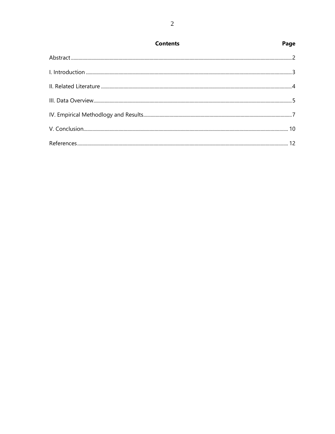| <b>Contents</b> | Page |
|-----------------|------|
|                 |      |
|                 |      |
|                 |      |
|                 |      |
|                 |      |
|                 |      |
|                 |      |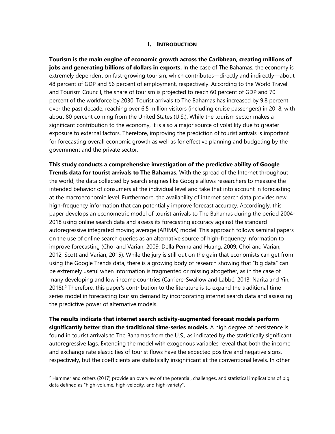### **I. INTRODUCTION**

**Tourism is the main engine of economic growth across the Caribbean, creating millions of jobs and generating billions of dollars in exports.** In the case of The Bahamas, the economy is extremely dependent on fast-growing tourism, which contributes—directly and indirectly—about 48 percent of GDP and 56 percent of employment, respectively. According to the World Travel and Tourism Council, the share of tourism is projected to reach 60 percent of GDP and 70 percent of the workforce by 2030. Tourist arrivals to The Bahamas has increased by 9.8 percent over the past decade, reaching over 6.5 million visitors (including cruise passengers) in 2018, with about 80 percent coming from the United States (U.S.). While the tourism sector makes a significant contribution to the economy, it is also a major source of volatility due to greater exposure to external factors. Therefore, improving the prediction of tourist arrivals is important for forecasting overall economic growth as well as for effective planning and budgeting by the government and the private sector.

**This study conducts a comprehensive investigation of the predictive ability of Google Trends data for tourist arrivals to The Bahamas.** With the spread of the Internet throughout the world, the data collected by search engines like Google allows researchers to measure the intended behavior of consumers at the individual level and take that into account in forecasting at the macroeconomic level. Furthermore, the availability of internet search data provides new high-frequency information that can potentially improve forecast accuracy. Accordingly, this paper develops an econometric model of tourist arrivals to The Bahamas during the period 2004- 2018 using online search data and assess its forecasting accuracy against the standard autoregressive integrated moving average (ARIMA) model. This approach follows seminal papers on the use of online search queries as an alternative source of high-frequency information to improve forecasting (Choi and Varian, 2009; Della Penna and Huang, 2009; Choi and Varian, 2012; Scott and Varian, 2015). While the jury is still out on the gain that economists can get from using the Google Trends data, there is a growing body of research showing that "big data" can be extremely useful when information is fragmented or missing altogether, as in the case of many developing and low-income countries (Carrière-Swallow and Labbé, 2013; Narita and Yin, 2018).[2](#page-3-0) Therefore, this paper's contribution to the literature is to expand the traditional time series model in forecasting tourism demand by incorporating internet search data and assessing the predictive power of alternative models.

**The results indicate that internet search activity-augmented forecast models perform significantly better than the traditional time-series models.** A high degree of persistence is found in tourist arrivals to The Bahamas from the U.S., as indicated by the statistically significant autoregressive lags. Extending the model with exogenous variables reveal that both the income and exchange rate elasticities of tourist flows have the expected positive and negative signs, respectively, but the coefficients are statistically insignificant at the conventional levels. In other

<span id="page-3-0"></span> $<sup>2</sup>$  Hammer and others (2017) provide an overview of the potential, challenges, and statistical implications of big</sup> data defined as "high-volume, high-velocity, and high-variety".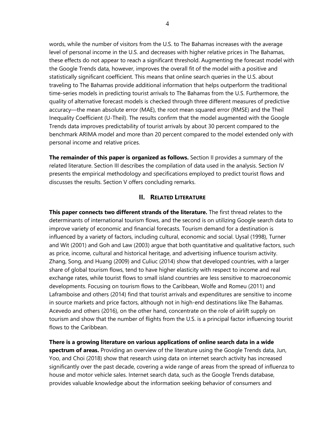words, while the number of visitors from the U.S. to The Bahamas increases with the average level of personal income in the U.S. and decreases with higher relative prices in The Bahamas, these effects do not appear to reach a significant threshold. Augmenting the forecast model with the Google Trends data, however, improves the overall fit of the model with a positive and statistically significant coefficient. This means that online search queries in the U.S. about traveling to The Bahamas provide additional information that helps outperform the traditional time-series models in predicting tourist arrivals to The Bahamas from the U.S. Furthermore, the quality of alternative forecast models is checked through three different measures of predictive accuracy—the mean absolute error (MAE), the root mean squared error (RMSE) and the Theil Inequality Coefficient (U-Theil). The results confirm that the model augmented with the Google Trends data improves predictability of tourist arrivals by about 30 percent compared to the benchmark ARIMA model and more than 20 percent compared to the model extended only with personal income and relative prices.

**The remainder of this paper is organized as follows.** Section II provides a summary of the related literature. Section III describes the compilation of data used in the analysis. Section IV presents the empirical methodology and specifications employed to predict tourist flows and discusses the results. Section V offers concluding remarks.

#### **II. RELATED LITERATURE**

**This paper connects two different strands of the literature.** The first thread relates to the determinants of international tourism flows, and the second is on utilizing Google search data to improve variety of economic and financial forecasts. Tourism demand for a destination is influenced by a variety of factors, including cultural, economic and social. Uysal (1998), Turner and Wit (2001) and Goh and Law (2003) argue that both quantitative and qualitative factors, such as price, income, cultural and historical heritage, and advertising influence tourism activity. Zhang, Song, and Huang (2009) and Culiuc (2014) show that developed countries, with a larger share of global tourism flows, tend to have higher elasticity with respect to income and real exchange rates, while tourist flows to small island countries are less sensitive to macroeconomic developments. Focusing on tourism flows to the Caribbean, Wolfe and Romeu (2011) and Laframboise and others (2014) find that tourist arrivals and expenditures are sensitive to income in source markets and price factors, although not in high-end destinations like The Bahamas. Acevedo and others (2016), on the other hand, concentrate on the role of airlift supply on tourism and show that the number of flights from the U.S. is a principal factor influencing tourist flows to the Caribbean.

**There is a growing literature on various applications of online search data in a wide spectrum of areas.** Providing an overview of the literature using the Google Trends data, Jun, Yoo, and Choi (2018) show that research using data on internet search activity has increased significantly over the past decade, covering a wide range of areas from the spread of influenza to house and motor vehicle sales. Internet search data, such as the Google Trends database, provides valuable knowledge about the information seeking behavior of consumers and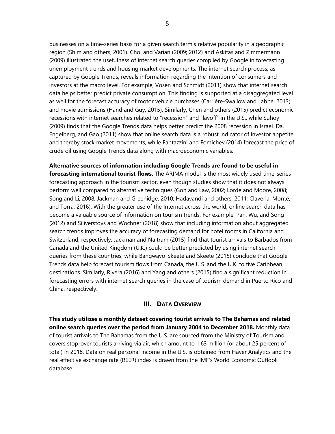businesses on a time-series basis for a given search term's relative popularity in a geographic region (Shim and others, 2001). Choi and Varian (2009; 2012) and Askitas and Zimmermann (2009) illustrated the usefulness of internet search queries compiled by Google in forecasting unemployment trends and housing market developments. The internet search process, as captured by Google Trends, reveals information regarding the intention of consumers and investors at the macro level. For example, Vosen and Schmidt (2011) show that internet search data helps better predict private consumption. This finding is supported at a disaggregated level as well for the forecast accuracy of motor vehicle purchases (Carrière-Swallow and Labbé, 2013) and movie admissions (Hand and Guy, 2015). Similarly, Chen and others (2015) predict economic recessions with internet searches related to "recession" and "layoff" in the U.S., while Suhoy (2009) finds that the Google Trends data helps better predict the 2008 recession in Israel. Da, Engelberg, and Gao (2011) show that online search data is a robust indicator of investor appetite and thereby stock market movements, while Fantazzini and Fomichev (2014) forecast the price of crude oil using Google Trends data along with macroeconomic variables.

**Alternative sources of information including Google Trends are found to be useful in forecasting international tourist flows.** The ARIMA model is the most widely used time-series forecasting approach in the tourism sector, even though studies show that it does not always perform well compared to alternative techniques (Goh and Law, 2002; Lorde and Moore, 2008; Song and Li, 2008; Jackman and Greenidge, 2010; Hadavandi and others, 2011; Claveria, Monte, and Torra, 2016). With the greater use of the Internet across the world, online search data has become a valuable source of information on tourism trends. For example, Pan, Wu, and Song (2012) and Siliverstovs and Wochner (2018) show that including information about aggregated search trends improves the accuracy of forecasting demand for hotel rooms in California and Switzerland, respectively. Jackman and Naitram (2015) find that tourist arrivals to Barbados from Canada and the United Kingdom (U.K.) could be better predicted by using internet search queries from these countries, while Bangwayo-Skeete and Skeete (2015) conclude that Google Trends data help forecast tourism flows from Canada, the U.S. and the U.K. to five Caribbean destinations. Similarly, Rivera (2016) and Yang and others (2015) find a significant reduction in forecasting errors with internet search queries in the case of tourism demand in Puerto Rico and China, respectively.

#### **III. DATA OVERVIEW**

**This study utilizes a monthly dataset covering tourist arrivals to The Bahamas and related online search queries over the period from January 2004 to December 2018.** Monthly data of tourist arrivals to The Bahamas from the U.S. are sourced from the Ministry of Tourism and covers stop-over tourists arriving via air, which amount to 1.63 million (or about 25 percent of total) in 2018. Data on real personal income in the U.S. is obtained from Haver Analytics and the real effective exchange rate (REER) index is drawn from the IMF's World Economic Outlook database.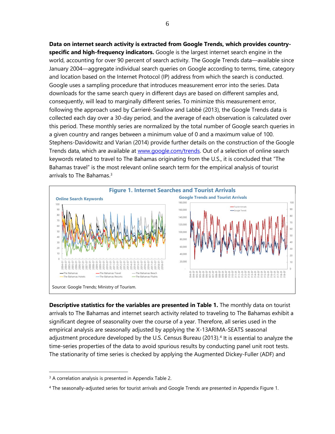**Data on internet search activity is extracted from Google Trends, which provides countryspecific and high-frequency indicators.** Google is the largest internet search engine in the world, accounting for over 90 percent of search activity. The Google Trends data—available since January 2004—aggregate individual search queries on Google according to terms, time, category and location based on the Internet Protocol (IP) address from which the search is conducted. Google uses a sampling procedure that introduces measurement error into the series. Data downloads for the same search query in different days are based on different samples and, consequently, will lead to marginally different series. To minimize this measurement error, following the approach used by Carrieré-Swallow and Labbé (2013), the Google Trends data is collected each day over a 30-day period, and the average of each observation is calculated over this period. These monthly series are normalized by the total number of Google search queries in a given country and ranges between a minimum value of 0 and a maximum value of 100. Stephens-Davidowitz and Varian (2014) provide further details on the construction of the Google Trends data, which are available at [www.google.com/trends.](http://www.google.com/trends) Out of a selection of online search keywords related to travel to The Bahamas originating from the U.S., it is concluded that "The Bahamas travel" is the most relevant online search term for the empirical analysis of tourist arrivals to The Bahamas.[3](#page-6-0)



**Descriptive statistics for the variables are presented in Table 1.** The monthly data on tourist arrivals to The Bahamas and internet search activity related to traveling to The Bahamas exhibit a significant degree of seasonality over the course of a year. Therefore, all series used in the empirical analysis are seasonally adjusted by applying the X-13ARIMA-SEATS seasonal adjustment procedure developed by the U.S. Census Bureau (2013). [4](#page-6-1) It is essential to analyze the time-series properties of the data to avoid spurious results by conducting panel unit root tests. The stationarity of time series is checked by applying the Augmented Dickey-Fuller (ADF) and

 $\overline{a}$ 

<span id="page-6-0"></span><sup>&</sup>lt;sup>3</sup> A correlation analysis is presented in Appendix Table 2.

<span id="page-6-1"></span><sup>4</sup> The seasonally-adjusted series for tourist arrivals and Google Trends are presented in Appendix Figure 1.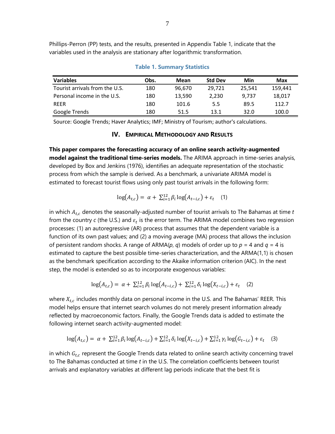Phillips-Perron (PP) tests, and the results, presented in Appendix Table 1, indicate that the variables used in the analysis are stationary after logarithmic transformation.

| <b>Variables</b>               | Obs. | Mean   | <b>Std Dev</b> | Min    | Max     |
|--------------------------------|------|--------|----------------|--------|---------|
|                                |      |        |                |        |         |
| Tourist arrivals from the U.S. | 180  | 96,670 | 29.721         | 25.541 | 159.441 |
| Personal income in the U.S.    | 180  | 13.590 | 2.230          | 9.737  | 18.017  |
| <b>REER</b>                    | 180  | 101.6  | 5.5            | 89.5   | 112.7   |
| Google Trends                  | 180  | 51.5   | 13.1           | 32.0   | 100.0   |

#### **Table 1. Summary Statistics**

Source: Google Trends; Haver Analytics; IMF; Ministry of Tourism; author's calculations.

#### **IV. EMPIRICAL METHODOLOGY AND RESULTS**

**This paper compares the forecasting accuracy of an online search activity-augmented model against the traditional time-series models.** The ARIMA approach in time-series analysis, developed by Box and Jenkins (1976), identifies an adequate representation of the stochastic process from which the sample is derived. As a benchmark, a univariate ARIMA model is estimated to forecast tourist flows using only past tourist arrivals in the following form:

$$
\log(A_{t,c}) = \alpha + \sum_{i=1}^{12} \beta_i \log(A_{t-i,c}) + \varepsilon_t \quad (1)
$$

in which  $A_{t,c}$  denotes the seasonally-adjusted number of tourist arrivals to The Bahamas at time  $t$ from the country  $c$  (the U.S.) and  $\varepsilon_t$  is the error term. The ARIMA model combines two regression processes: (1) an autoregressive (AR) process that assumes that the dependent variable is a function of its own past values; and (2) a moving average (MA) process that allows the inclusion of persistent random shocks. A range of ARMA( $p$ ,  $q$ ) models of order up to  $p = 4$  and  $q = 4$  is estimated to capture the best possible time-series characterization, and the ARMA(1,1) is chosen as the benchmark specification according to the Akaike information criterion (AIC). In the next step, the model is extended so as to incorporate exogenous variables:

$$
\log(A_{t,c}) = \alpha + \sum_{i=1}^{12} \beta_i \log(A_{t-i,c}) + \sum_{i=1}^{12} \delta_i \log(X_{t-i,c}) + \varepsilon_t \quad (2)
$$

where  $X_{t,c}$  includes monthly data on personal income in the U.S. and The Bahamas' REER. This model helps ensure that internet search volumes do not merely present information already reflected by macroeconomic factors. Finally, the Google Trends data is added to estimate the following internet search activity-augmented model:

$$
\log(A_{t,c}) = \alpha + \sum_{i=1}^{12} \beta_i \log(A_{t-i,c}) + \sum_{i=1}^{12} \delta_i \log(X_{t-i,c}) + \sum_{i=1}^{12} \gamma_i \log(G_{t-i,c}) + \varepsilon_t \quad (3)
$$

in which  $G_{t,c}$  represent the Google Trends data related to online search activity concerning travel to The Bahamas conducted at time *t* in the U.S. The correlation coefficients between tourist arrivals and explanatory variables at different lag periods indicate that the best fit is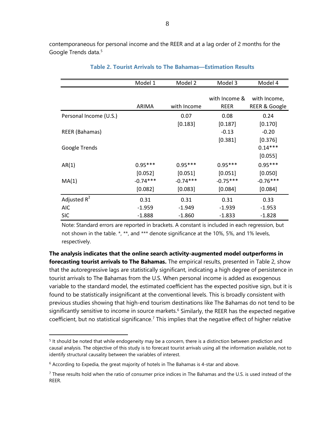contemporaneous for personal income and the REER and at a lag order of 2 months for the Google Trends data. [5](#page-8-0)

|                        | Model 1    | Model 2     | Model 3       | Model 4                  |
|------------------------|------------|-------------|---------------|--------------------------|
|                        |            |             |               |                          |
|                        |            |             | with Income & | with Income,             |
|                        | ARIMA      | with Income | <b>REER</b>   | <b>REER &amp; Google</b> |
| Personal Income (U.S.) |            | 0.07        | 0.08          | 0.24                     |
|                        |            | [0.183]     | [0.187]       | [0.170]                  |
| <b>REER (Bahamas)</b>  |            |             | $-0.13$       | $-0.20$                  |
|                        |            |             | [0.381]       | [0.376]                  |
| Google Trends          |            |             |               | $0.14***$                |
|                        |            |             |               | [0.055]                  |
| AR(1)                  | $0.95***$  | $0.95***$   | $0.95***$     | $0.95***$                |
|                        | [0.052]    | [0.051]     | [0.051]       | [0.050]                  |
| MA(1)                  | $-0.74***$ | $-0.74***$  | $-0.75***$    | $-0.76***$               |
|                        | [0.082]    | [0.083]     | [0.084]       | [0.084]                  |
| Adjusted $R^2$         | 0.31       | 0.31        | 0.31          | 0.33                     |
| <b>AIC</b>             | $-1.959$   | $-1.949$    | $-1.939$      | $-1.953$                 |
| <b>SIC</b>             | $-1.888$   | $-1.860$    | $-1.833$      | $-1.828$                 |

**Table 2. Tourist Arrivals to The Bahamas—Estimation Results**

Note: Standard errors are reported in brackets. A constant is included in each regression, but not shown in the table. \*, \*\*, and \*\*\* denote significance at the 10%, 5%, and 1% levels, respectively.

**The analysis indicates that the online search activity-augmented model outperforms in forecasting tourist arrivals to The Bahamas.** The empirical results, presented in Table 2, show that the autoregressive lags are statistically significant, indicating a high degree of persistence in tourist arrivals to The Bahamas from the U.S. When personal income is added as exogenous variable to the standard model, the estimated coefficient has the expected positive sign, but it is found to be statistically insignificant at the conventional levels. This is broadly consistent with previous studies showing that high-end tourism destinations like The Bahamas do not tend to be significantly sensitive to income in source markets.<sup>[6](#page-8-1)</sup> Similarly, the REER has the expected negative coefficient, but no statistical significance.<sup>[7](#page-8-2)</sup> This implies that the negative effect of higher relative

 $\overline{a}$ 

<span id="page-8-0"></span> $5$  It should be noted that while endogeneity may be a concern, there is a distinction between prediction and causal analysis. The objective of this study is to forecast tourist arrivals using all the information available, not to identify structural causality between the variables of interest.

<span id="page-8-1"></span> $6$  According to Expedia, the great majority of hotels in The Bahamas is 4-star and above.

<span id="page-8-2"></span> $<sup>7</sup>$  These results hold when the ratio of consumer price indices in The Bahamas and the U.S. is used instead of the</sup> REER.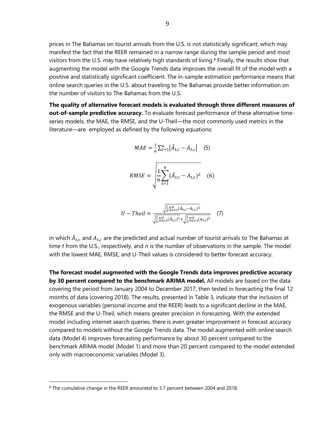prices in The Bahamas on tourist arrivals from the U.S. is not statistically significant, which may manifest the fact that the REER remained in a narrow range during the sample period and most visitors from the U.S. may have relatively high standards of living.<sup>[8](#page-9-0)</sup> Finally, the results show that augmenting the model with the Google Trends data improves the overall fit of the model with a positive and statistically significant coefficient. The in-sample estimation performance means that online search queries in the U.S. about traveling to The Bahamas provide better information on the number of visitors to The Bahamas from the U.S.

**The quality of alternative forecast models is evaluated through three different measures of out-of-sample predictive accuracy.** To evaluate forecast performance of these alternative timeseries models, the MAE, the RMSE, and the U-Theil—the most commonly used metrics in the literature—are employed as defined by the following equations:

$$
MAE = \frac{1}{n} \sum_{t=1}^{n} |\hat{A}_{t,c} - A_{t,c}| \quad (5)
$$

$$
RMSE = \sqrt{\frac{1}{n} \sum_{t=1}^{n} (\hat{A}_{t,c} - A_{t,c})^2}
$$
 (6)

$$
U - Theil = \frac{\sqrt{\frac{1}{n}\sum_{t=1}^{n}(\hat{A}_{t,c} - A_{t,c})^2}}{\sqrt{\frac{1}{n}\sum_{t=1}^{n}(\hat{A}_{t,c})^2} + \sqrt{\frac{1}{n}\sum_{t=1}^{n}(A_{t,c})^2}}
$$
(7)

in which  $\ddot{A}_{t,c}$  and  $A_{t,c}$  are the predicted and actual number of tourist arrivals to The Bahamas at time *t* from the U.S., respectively, and *n* is the number of observations in the sample. The model with the lowest MAE, RMSE, and U-Theil values is considered to better forecast accuracy.

**The forecast model augmented with the Google Trends data improves predictive accuracy by 30 percent compared to the benchmark ARIMA model.** All models are based on the data covering the period from January 2004 to December 2017, then tested in forecasting the final 12 months of data (covering 2018). The results, presented in Table 3, indicate that the inclusion of exogenous variables (personal income and the REER) leads to a significant decline in the MAE, the RMSE and the U-Theil, which means greater precision in forecasting. With the extended model including internet search queries, there is even greater improvement in forecast accuracy compared to models without the Google Trends data. The model augmented with online search data (Model 4) improves forecasting performance by about 30 percent compared to the benchmark ARIMA model (Model 1) and more than 20 percent compared to the model extended only with macroeconomic variables (Model 3).

 $\overline{a}$ 

<span id="page-9-0"></span><sup>&</sup>lt;sup>8</sup> The cumulative change in the REER amounted to 3.7 percent between 2004 and 2018.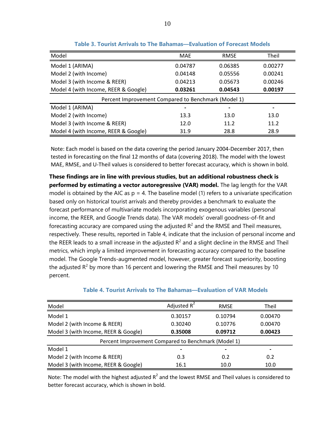| Model                                               | MAE     | <b>RMSE</b> | Theil   |  |  |  |  |
|-----------------------------------------------------|---------|-------------|---------|--|--|--|--|
| Model 1 (ARIMA)                                     | 0.04787 | 0.06385     | 0.00277 |  |  |  |  |
| Model 2 (with Income)                               | 0.04148 | 0.05556     | 0.00241 |  |  |  |  |
| Model 3 (with Income & REER)                        | 0.04213 | 0.05673     | 0.00246 |  |  |  |  |
| Model 4 (with Income, REER & Google)                | 0.03261 | 0.04543     | 0.00197 |  |  |  |  |
| Percent Improvement Compared to Benchmark (Model 1) |         |             |         |  |  |  |  |
| Model 1 (ARIMA)                                     |         |             |         |  |  |  |  |
| Model 2 (with Income)                               | 13.3    | 13.0        | 13.0    |  |  |  |  |
| Model 3 (with Income & REER)                        | 12.0    | 11.2        | 11.2    |  |  |  |  |
| Model 4 (with Income, REER & Google)                | 31.9    | 28.8        | 28.9    |  |  |  |  |

**Table 3. Tourist Arrivals to The Bahamas—Evaluation of Forecast Models**

Note: Each model is based on the data covering the period January 2004-December 2017, then tested in forecasting on the final 12 months of data (covering 2018). The model with the lowest MAE, RMSE, and U-Theil values is considered to better forecast accuracy, which is shown in bold.

**These findings are in line with previous studies, but an additional robustness check is performed by estimating a vector autoregressive (VAR) model.** The lag length for the VAR model is obtained by the AIC as  $p = 4$ . The baseline model (1) refers to a univariate specification based only on historical tourist arrivals and thereby provides a benchmark to evaluate the forecast performance of multivariate models incorporating exogenous variables (personal income, the REER, and Google Trends data). The VAR models' overall goodness-of-fit and forecasting accuracy are compared using the adjusted  $R^2$  and the RMSE and Theil measures, respectively. These results, reported in Table 4, indicate that the inclusion of personal income and the REER leads to a small increase in the adjusted  $R^2$  and a slight decline in the RMSE and Theil metrics, which imply a limited improvement in forecasting accuracy compared to the baseline model. The Google Trends-augmented model, however, greater forecast superiority, boosting the adjusted  $R^2$  by more than 16 percent and lowering the RMSE and Theil measures by 10 percent.

| Model                                               | Adjusted $R^2$ | <b>RMSE</b>    | Theil   |  |  |  |
|-----------------------------------------------------|----------------|----------------|---------|--|--|--|
| Model 1                                             | 0.30157        | 0.10794        | 0.00470 |  |  |  |
| Model 2 (with Income & REER)                        | 0.30240        | 0.10776        | 0.00470 |  |  |  |
| Model 3 (with Income, REER & Google)                | 0.35008        | 0.09712        | 0.00423 |  |  |  |
| Percent Improvement Compared to Benchmark (Model 1) |                |                |         |  |  |  |
| Model 1                                             |                | $\blacksquare$ |         |  |  |  |
| Model 2 (with Income & REER)                        | 0.3            | 0.2            | 0.2     |  |  |  |
| Model 3 (with Income, REER & Google)                | 16.1           | 10.0           | 10.0    |  |  |  |

#### **Table 4. Tourist Arrivals to The Bahamas—Evaluation of VAR Models**

Note: The model with the highest adjusted  $R^2$  and the lowest RMSE and Theil values is considered to better forecast accuracy, which is shown in bold.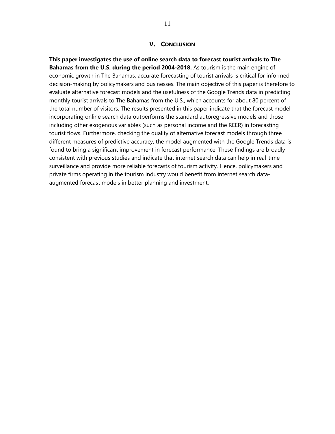#### **V. CONCLUSION**

**This paper investigates the use of online search data to forecast tourist arrivals to The Bahamas from the U.S. during the period 2004-2018.** As tourism is the main engine of economic growth in The Bahamas, accurate forecasting of tourist arrivals is critical for informed decision-making by policymakers and businesses. The main objective of this paper is therefore to evaluate alternative forecast models and the usefulness of the Google Trends data in predicting monthly tourist arrivals to The Bahamas from the U.S., which accounts for about 80 percent of the total number of visitors. The results presented in this paper indicate that the forecast model incorporating online search data outperforms the standard autoregressive models and those including other exogenous variables (such as personal income and the REER) in forecasting tourist flows. Furthermore, checking the quality of alternative forecast models through three different measures of predictive accuracy, the model augmented with the Google Trends data is found to bring a significant improvement in forecast performance. These findings are broadly consistent with previous studies and indicate that internet search data can help in real-time surveillance and provide more reliable forecasts of tourism activity. Hence, policymakers and private firms operating in the tourism industry would benefit from internet search dataaugmented forecast models in better planning and investment.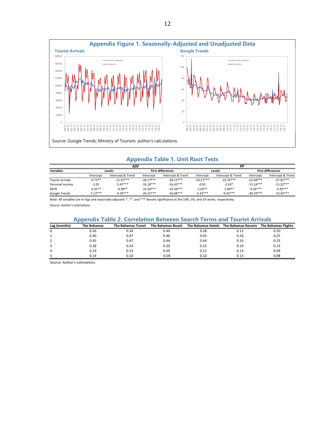

#### **Appendix Table 1. Unit Root Tests**

|                         | ADF        |                   |                          |                   | DD          |                   |                          |                   |
|-------------------------|------------|-------------------|--------------------------|-------------------|-------------|-------------------|--------------------------|-------------------|
| <b>Variables</b>        | Levels     |                   | <b>First differences</b> |                   | Levels      |                   | <b>First differences</b> |                   |
|                         | Intercept  | Intercept & Trend | Intercept                | Intercept & Trend | Intercept   | Intercept & Trend | Intercept                | Intercept & Trend |
| <b>Tourist arrivals</b> | $-9.72**$  | $-11.97***$       | $-28.17***$              | $-28.11***$       | $-10.27***$ | $-10.32***$       | $-52.68***$              | $-57.91***$       |
| Personal income         | $-2.05$    | $-5.47***$        | $-16.18***$              | $-16.43***$       | $-0.91$     | $-2.63*$          | $-15.24***$              | $-15.22***$       |
| <b>REER</b>             | $-4.35**$  | $-4.38**$         | $-10.34***$              | $-10.34***$       | $-2.05**$   | $-2.84**$         | $-9.26***$               | $-9.29***$        |
| Google Trends           | $-7.13***$ | $-9.35***$        | $-26.55***$              | $-26.68***$       | $-5.42***$  | $-9.45***$        | $-49.29***$              | $-73.45***$       |

Note: All variables are in logs and seasonally adjusted. \*, \*\*, and \*\*\* denote significance at the 10%, 5%, and 1% levels, respectively. Source: Author's estimations.

| <b>Appendix Table 2. Correlation Between Search Terms and Tourist Arrivals</b> |                    |                    |         |      |                                                                              |      |  |
|--------------------------------------------------------------------------------|--------------------|--------------------|---------|------|------------------------------------------------------------------------------|------|--|
| Lag (months)                                                                   | <b>The Bahamas</b> | The Bahamas Travel |         |      | The Bahamas Beach The Bahamas Hotels The Bahamas Resorts The Bahamas Flights |      |  |
|                                                                                | 0.26               | 0.34               | 0.40    | 0.28 | 0.12                                                                         | 0.20 |  |
|                                                                                | 0.40               | 0.47               | 0.46    | 0.45 | 0.24                                                                         | 0.25 |  |
|                                                                                | 0.43               | 0.47               | 0.44    | 0.44 | 0.33                                                                         | 0.25 |  |
|                                                                                | 0.28               | 0.24               | 0.20    | 0.22 | 0.14                                                                         | 0.13 |  |
|                                                                                | 0.19               | 0.13               | 0.05    | 0.12 | 0.13                                                                         | 0.09 |  |
|                                                                                | 0.14               | 0.10               | $-0.04$ | 0.10 | 0.13                                                                         | 0.08 |  |

#### Source: Author's estimations.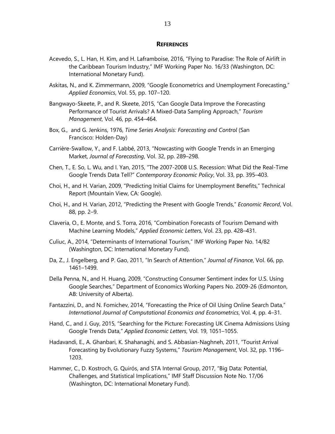#### **REFERENCES**

- Acevedo, S., L. Han, H. Kim, and H. Laframboise, 2016, "Flying to Paradise: The Role of Airlift in the Caribbean Tourism Industry," IMF Working Paper No. 16/33 (Washington, DC: International Monetary Fund).
- Askitas, N., and K. Zimmermann, 2009, "Google Econometrics and Unemployment Forecasting," *Applied Economics*, Vol. 55, pp. 107–120.
- Bangwayo-Skeete, P., and R. Skeete, 2015, "Can Google Data Improve the Forecasting Performance of Tourist Arrivals? A Mixed-Data Sampling Approach," *Tourism Management*, Vol. 46, pp. 454–464.
- Box, G., and G. Jenkins, 1976, *Time Series Analysis: Forecasting and Control* (San Francisco: Holden-Day)
- Carrière-Swallow, Y., and F. Labbé, 2013, "Nowcasting with Google Trends in an Emerging Market, *Journal of Forecasting*, Vol. 32, pp. 289–298.
- Chen, T., E. So, L. Wu, and I. Yan, 2015, "The 2007-2008 U.S. Recession: What Did the Real-Time Google Trends Data Tell?" *Contemporary Economic Policy*, Vol. 33, pp. 395–403.
- Choi, H., and H. Varian, 2009, "Predicting Initial Claims for Unemployment Benefits," Technical Report (Mountain View, CA: Google).
- Choi, H., and H. Varian, 2012, "Predicting the Present with Google Trends," *Economic Record*, Vol. 88, pp. 2–9.
- Claveria, O., E. Monte, and S. Torra, 2016, "Combination Forecasts of Tourism Demand with Machine Learning Models," *Applied Economic Letters*, Vol. 23, pp. 428–431.
- Culiuc, A., 2014, "Determinants of International Tourism," IMF Working Paper No. 14/82 (Washington, DC: International Monetary Fund).
- Da, Z., J. Engelberg, and P. Gao, 2011, "In Search of Attention," *Journal of Finance*, Vol. 66, pp. 1461–1499.
- Della Penna, N., and H. Huang, 2009, "Constructing Consumer Sentiment index for U.S. Using Google Searches," Department of Economics Working Papers No. 2009-26 (Edmonton, AB: University of Alberta).
- Fantazzini, D., and N. Fomichev, 2014, "Forecasting the Price of Oil Using Online Search Data," *International Journal of Computational Economics and Econometrics*, Vol. 4, pp. 4–31.
- Hand, C., and J. Guy, 2015, "Searching for the Picture: Forecasting UK Cinema Admissions Using Google Trends Data," *Applied Economic Letters*, Vol. 19, 1051–1055.
- Hadavandi, E., A. Ghanbari, K. Shahanaghi, and S. Abbasian-Naghneh, 2011, "Tourist Arrival Forecasting by Evolutionary Fuzzy Systems," *Tourism Management*, Vol. 32, pp. 1196– 1203.
- Hammer, C., D. Kostroch, G. Quirós, and STA Internal Group, 2017, "Big Data: Potential, Challenges, and Statistical Implications," IMF Staff Discussion Note No. 17/06 (Washington, DC: International Monetary Fund).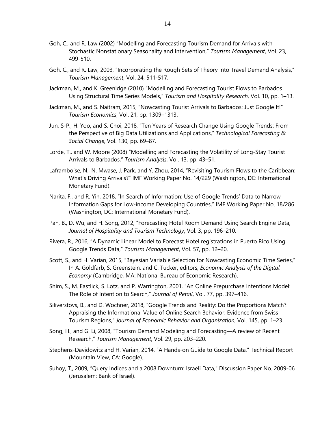- Goh, C., and R. Law (2002) "Modelling and Forecasting Tourism Demand for Arrivals with Stochastic Nonstationary Seasonality and Intervention," *Tourism Management*, Vol. 23, 499-510.
- Goh, C., and R. Law, 2003, "Incorporating the Rough Sets of Theory into Travel Demand Analysis," *Tourism Management*, Vol. 24, 511-517.
- Jackman, M., and K. Greenidge (2010) "Modelling and Forecasting Tourist Flows to Barbados Using Structural Time Series Models," *Tourism and Hospitality Research*, Vol. 10, pp. 1–13.
- Jackman, M., and S. Naitram, 2015, "Nowcasting Tourist Arrivals to Barbados: Just Google It!" *Tourism Economics*, Vol. 21, pp. 1309–1313.
- Jun, S-P., H. Yoo, and S. Choi, 2018, "Ten Years of Research Change Using Google Trends: From the Perspective of Big Data Utilizations and Applications," *Technological Forecasting & Social Change*, Vol. 130, pp. 69–87.
- Lorde, T., and W. Moore (2008) "Modelling and Forecasting the Volatility of Long-Stay Tourist Arrivals to Barbados," *Tourism Analysis*, Vol. 13, pp. 43–51.
- Laframboise, N., N. Mwase, J. Park, and Y. Zhou, 2014, "Revisiting Tourism Flows to the Caribbean: What's Driving Arrivals?" IMF Working Paper No. 14/229 (Washington, DC: International Monetary Fund).
- Narita, F., and R. Yin, 2018, "In Search of Information: Use of Google Trends' Data to Narrow Information Gaps for Low-income Developing Countries," IMF Working Paper No. 18/286 (Washington, DC: International Monetary Fund).
- Pan, B., D. Wu, and H. Song, 2012, "Forecasting Hotel Room Demand Using Search Engine Data, *Journal of Hospitality and Tourism Technology*, Vol. 3, pp. 196–210.
- Rivera, R., 2016, "A Dynamic Linear Model to Forecast Hotel registrations in Puerto Rico Using Google Trends Data," *Tourism Management*, Vol. 57, pp. 12–20.
- Scott, S., and H. Varian, 2015, "Bayesian Variable Selection for Nowcasting Economic Time Series," In A. Goldfarb, S. Greenstein, and C. Tucker, editors, *Economic Analysis of the Digital Economy* (Cambridge, MA: National Bureau of Economic Research).
- Shim, S., M. Eastlick, S. Lotz, and P. Warrington, 2001, "An Online Prepurchase Intentions Model: The Role of Intention to Search," *Journal of Retail*, Vol. 77, pp. 397–416.
- Siliverstovs, B., and D. Wochner, 2018, "Google Trends and Reality: Do the Proportions Match?: Appraising the Informational Value of Online Search Behavior: Evidence from Swiss Tourism Regions," *Journal of Economic Behavior and Organization*, Vol. 145, pp. 1–23.
- Song, H., and G. Li, 2008, "Tourism Demand Modeling and Forecasting—A review of Recent Research," *Tourism Management*, Vol. 29, pp. 203–220.
- Stephens-Davidowitz and H. Varian, 2014, "A Hands-on Guide to Google Data," Technical Report (Mountain View, CA: Google).
- Suhoy, T., 2009, "Query Indices and a 2008 Downturn: Israeli Data," Discussion Paper No. 2009-06 (Jerusalem: Bank of Israel).